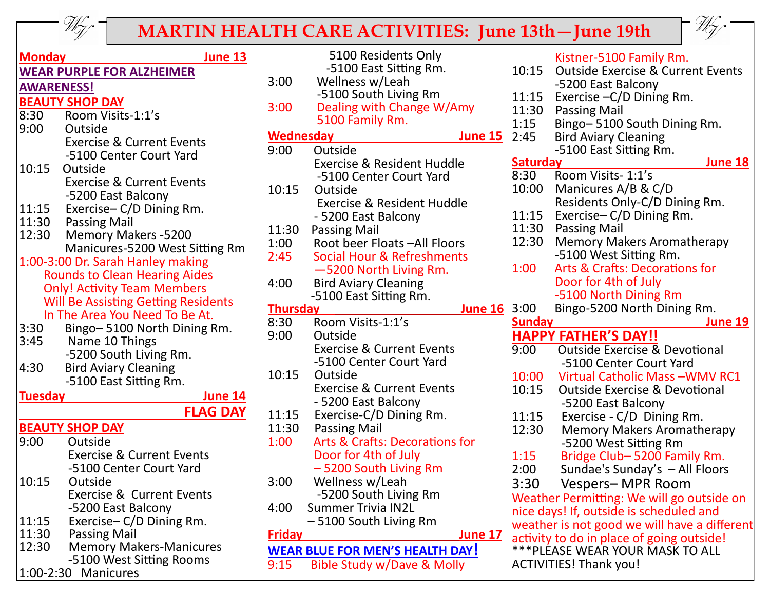

## **MARTIN HEALTH CARE ACTIVITIES: June 13th—June 19th**

5100 Residents Only



| <u>Monday</u><br><u>June 13</u>                               |  |  |  |
|---------------------------------------------------------------|--|--|--|
| <b>WEAR PURPLE FOR ALZHEIMER</b>                              |  |  |  |
| <b>AWARENESS!</b>                                             |  |  |  |
| <b>BEAUTY SHOP DAY</b>                                        |  |  |  |
| Room Visits-1:1's<br>8:30                                     |  |  |  |
| 9:00<br>Outside                                               |  |  |  |
| <b>Exercise &amp; Current Events</b>                          |  |  |  |
| -5100 Center Court Yard                                       |  |  |  |
| 10:15<br>Outside                                              |  |  |  |
| <b>Exercise &amp; Current Events</b>                          |  |  |  |
| -5200 East Balcony<br>11:15<br>Exercise-C/D Dining Rm.        |  |  |  |
| 11:30 Passing Mail                                            |  |  |  |
| 12:30<br><b>Memory Makers -5200</b>                           |  |  |  |
| Manicures-5200 West Sitting Rm                                |  |  |  |
| 1:00-3:00 Dr. Sarah Hanley making                             |  |  |  |
| <b>Rounds to Clean Hearing Aides</b>                          |  |  |  |
| <b>Only! Activity Team Members</b>                            |  |  |  |
| <b>Will Be Assisting Getting Residents</b>                    |  |  |  |
| In The Area You Need To Be At.                                |  |  |  |
| Bingo-5100 North Dining Rm.<br>3:30                           |  |  |  |
| 3:45<br>Name 10 Things                                        |  |  |  |
| -5200 South Living Rm.<br>4:30<br><b>Bird Aviary Cleaning</b> |  |  |  |
| -5100 East Sitting Rm.                                        |  |  |  |
| Tuesday<br><u>June 14</u>                                     |  |  |  |
| <b>FLAG DAY</b>                                               |  |  |  |
| <b>BEAUTY SHOP DAY</b>                                        |  |  |  |
| Outside<br>9:00                                               |  |  |  |
| <b>Exercise &amp; Current Events</b>                          |  |  |  |
| -5100 Center Court Yard                                       |  |  |  |
| 10:15<br>Outside                                              |  |  |  |
| <b>Exercise &amp; Current Events</b>                          |  |  |  |
| -5200 East Balcony                                            |  |  |  |
| Exercise-C/D Dining Rm.<br>11:15                              |  |  |  |
| 11:30<br><b>Passing Mail</b>                                  |  |  |  |
| 12:30<br><b>Memory Makers-Manicures</b>                       |  |  |  |
| -5100 West Sitting Rooms<br>1:00-2:30 Manicures               |  |  |  |

|                                   | -5100 East Sitting Rm.                    | 10 <sub>2</sub> |
|-----------------------------------|-------------------------------------------|-----------------|
| 3:00                              | Wellness w/Leah                           |                 |
|                                   | -5100 South Living Rm                     | 11              |
| 3:00                              | Dealing with Change W/Amy                 | $11$ :          |
|                                   | 5100 Family Rm.                           | 1:1             |
| <b>Wednesday</b>                  | <b>June 15</b>                            | 2:4             |
| 9:00                              | Outside                                   |                 |
|                                   | <b>Exercise &amp; Resident Huddle</b>     | <u>Sat</u>      |
|                                   | -5100 Center Court Yard                   | 8:3             |
| 10:15                             | Outside                                   | 10 <sub>2</sub> |
|                                   | <b>Exercise &amp; Resident Huddle</b>     |                 |
|                                   | - 5200 East Balcony                       | 11              |
| 11:30                             | <b>Passing Mail</b>                       | 11              |
| 1:00                              | Root beer Floats - All Floors             | 12:             |
| 2:45                              | <b>Social Hour &amp; Refreshments</b>     |                 |
|                                   | -5200 North Living Rm.                    | 1:0             |
| 4:00                              | <b>Bird Aviary Cleaning</b>               |                 |
|                                   | -5100 East Sitting Rm.                    |                 |
| <b>Thursday</b><br><b>June 16</b> |                                           | 3:0             |
| 8:30                              | Room Visits-1:1's                         | <u>Sui</u>      |
| 9:00                              | Outside                                   | НА              |
|                                   | <b>Exercise &amp; Current Events</b>      | 9:0             |
|                                   | -5100 Center Court Yard                   |                 |
| 10:15                             | Outside                                   | 10              |
|                                   | <b>Exercise &amp; Current Events</b>      | 10              |
|                                   | - 5200 East Balcony                       |                 |
| 11:15                             | Exercise-C/D Dining Rm.                   | 11              |
| 11:30                             | <b>Passing Mail</b>                       | 12:             |
| 1:00                              | <b>Arts &amp; Crafts: Decorations for</b> |                 |
|                                   | Door for 4th of July                      | 1:1             |
|                                   | - 5200 South Living Rm                    | 2:0             |
| 3:00                              | Wellness w/Leah                           | 3:3             |
|                                   | -5200 South Living Rm                     | We              |
| 4:00                              | <b>Summer Trivia IN2L</b>                 | nic             |
|                                   | -5100 South Living Rm                     | we              |
| Friday                            | <b>June 17</b>                            | act             |
|                                   | <u>WEAR BLUE FOR MEN'S HEALTH DAY!</u>    | $***$           |
| 9:15                              | <b>Bible Study w/Dave &amp; Molly</b>     | AC <sup>®</sup> |
|                                   |                                           |                 |

Kistner-5100 Family Rm.